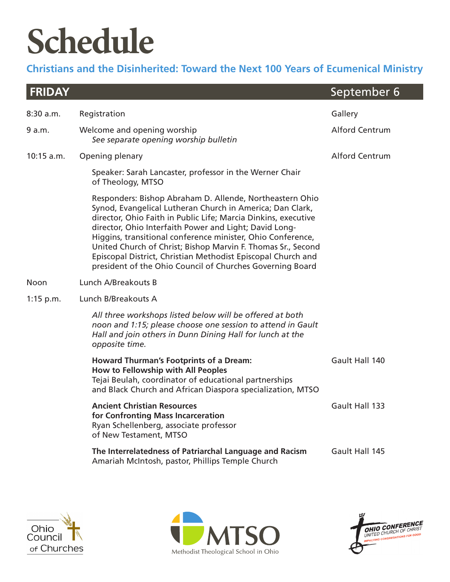## **Schedule**

### **Christians and the Disinherited: Toward the Next 100 Years of Ecumenical Ministry**

| <b>FRIDAY</b> |                                                                                                                                                                                                                                                                                                                                                                                                                                                                                                               | September 6           |
|---------------|---------------------------------------------------------------------------------------------------------------------------------------------------------------------------------------------------------------------------------------------------------------------------------------------------------------------------------------------------------------------------------------------------------------------------------------------------------------------------------------------------------------|-----------------------|
| 8:30 a.m.     | Registration                                                                                                                                                                                                                                                                                                                                                                                                                                                                                                  | Gallery               |
| 9 a.m.        | Welcome and opening worship<br>See separate opening worship bulletin                                                                                                                                                                                                                                                                                                                                                                                                                                          | <b>Alford Centrum</b> |
| 10:15 a.m.    | Opening plenary                                                                                                                                                                                                                                                                                                                                                                                                                                                                                               | <b>Alford Centrum</b> |
|               | Speaker: Sarah Lancaster, professor in the Werner Chair<br>of Theology, MTSO                                                                                                                                                                                                                                                                                                                                                                                                                                  |                       |
|               | Responders: Bishop Abraham D. Allende, Northeastern Ohio<br>Synod, Evangelical Lutheran Church in America; Dan Clark,<br>director, Ohio Faith in Public Life; Marcia Dinkins, executive<br>director, Ohio Interfaith Power and Light; David Long-<br>Higgins, transitional conference minister, Ohio Conference,<br>United Church of Christ; Bishop Marvin F. Thomas Sr., Second<br>Episcopal District, Christian Methodist Episcopal Church and<br>president of the Ohio Council of Churches Governing Board |                       |
| <b>Noon</b>   | Lunch A/Breakouts B                                                                                                                                                                                                                                                                                                                                                                                                                                                                                           |                       |
| $1:15$ p.m.   | Lunch B/Breakouts A                                                                                                                                                                                                                                                                                                                                                                                                                                                                                           |                       |
|               | All three workshops listed below will be offered at both<br>noon and 1:15; please choose one session to attend in Gault<br>Hall and join others in Dunn Dining Hall for lunch at the<br>opposite time.                                                                                                                                                                                                                                                                                                        |                       |
|               | <b>Howard Thurman's Footprints of a Dream:</b><br>How to Fellowship with All Peoples<br>Tejai Beulah, coordinator of educational partnerships<br>and Black Church and African Diaspora specialization, MTSO                                                                                                                                                                                                                                                                                                   | Gault Hall 140        |
|               | <b>Ancient Christian Resources</b><br>for Confronting Mass Incarceration<br>Ryan Schellenberg, associate professor<br>of New Testament, MTSO                                                                                                                                                                                                                                                                                                                                                                  | Gault Hall 133        |
|               | The Interrelatedness of Patriarchal Language and Racism<br>Amariah McIntosh, pastor, Phillips Temple Church                                                                                                                                                                                                                                                                                                                                                                                                   | Gault Hall 145        |





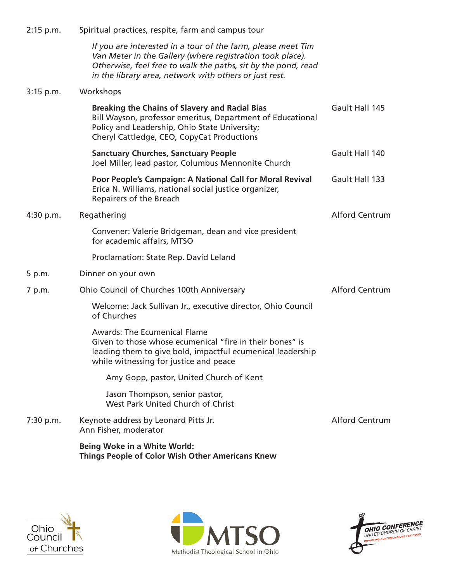| $2:15$ p.m. | Spiritual practices, respite, farm and campus tour                                                                                                                                                                                                   |                       |  |  |
|-------------|------------------------------------------------------------------------------------------------------------------------------------------------------------------------------------------------------------------------------------------------------|-----------------------|--|--|
|             | If you are interested in a tour of the farm, please meet Tim<br>Van Meter in the Gallery (where registration took place).<br>Otherwise, feel free to walk the paths, sit by the pond, read<br>in the library area, network with others or just rest. |                       |  |  |
| $3:15$ p.m. | Workshops                                                                                                                                                                                                                                            |                       |  |  |
|             | <b>Breaking the Chains of Slavery and Racial Bias</b><br>Bill Wayson, professor emeritus, Department of Educational<br>Policy and Leadership, Ohio State University;<br>Cheryl Cattledge, CEO, CopyCat Productions                                   | Gault Hall 145        |  |  |
|             | <b>Sanctuary Churches, Sanctuary People</b><br>Joel Miller, lead pastor, Columbus Mennonite Church                                                                                                                                                   | Gault Hall 140        |  |  |
|             | Poor People's Campaign: A National Call for Moral Revival<br>Erica N. Williams, national social justice organizer,<br>Repairers of the Breach                                                                                                        | Gault Hall 133        |  |  |
| 4:30 p.m.   | Regathering                                                                                                                                                                                                                                          | <b>Alford Centrum</b> |  |  |
|             | Convener: Valerie Bridgeman, dean and vice president<br>for academic affairs, MTSO                                                                                                                                                                   |                       |  |  |
|             | Proclamation: State Rep. David Leland                                                                                                                                                                                                                |                       |  |  |
| 5 p.m.      | Dinner on your own                                                                                                                                                                                                                                   |                       |  |  |
| 7 p.m.      | Ohio Council of Churches 100th Anniversary                                                                                                                                                                                                           | <b>Alford Centrum</b> |  |  |
|             | Welcome: Jack Sullivan Jr., executive director, Ohio Council<br>of Churches                                                                                                                                                                          |                       |  |  |
|             | <b>Awards: The Ecumenical Flame</b><br>Given to those whose ecumenical "fire in their bones" is<br>leading them to give bold, impactful ecumenical leadership<br>while witnessing for justice and peace                                              |                       |  |  |
|             | Amy Gopp, pastor, United Church of Kent                                                                                                                                                                                                              |                       |  |  |
|             | Jason Thompson, senior pastor,<br>West Park United Church of Christ                                                                                                                                                                                  |                       |  |  |
| 7:30 p.m.   | Keynote address by Leonard Pitts Jr.<br>Ann Fisher, moderator                                                                                                                                                                                        | <b>Alford Centrum</b> |  |  |
|             | <b>Being Woke in a White World:</b>                                                                                                                                                                                                                  |                       |  |  |

**Things People of Color Wish Other Americans Knew**





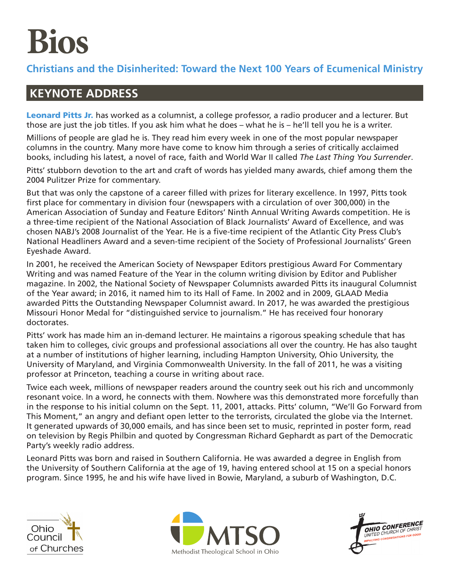# **Bios**

#### **Christians and the Disinherited: Toward the Next 100 Years of Ecumenical Ministry**

### **KEYNOTE ADDRESS**

Leonard Pitts Jr. has worked as a columnist, a college professor, a radio producer and a lecturer. But those are just the job titles. If you ask him what he does – what he is – he'll tell you he is a writer.

Millions of people are glad he is. They read him every week in one of the most popular newspaper columns in the country. Many more have come to know him through a series of critically acclaimed books, including his latest, a novel of race, faith and World War II called *The Last Thing You Surrender*.

Pitts' stubborn devotion to the art and craft of words has yielded many awards, chief among them the 2004 Pulitzer Prize for commentary.

But that was only the capstone of a career filled with prizes for literary excellence. In 1997, Pitts took first place for commentary in division four (newspapers with a circulation of over 300,000) in the American Association of Sunday and Feature Editors' Ninth Annual Writing Awards competition. He is a three-time recipient of the National Association of Black Journalists' Award of Excellence, and was chosen NABJ's 2008 Journalist of the Year. He is a five-time recipient of the Atlantic City Press Club's National Headliners Award and a seven-time recipient of the Society of Professional Journalists' Green Eyeshade Award.

In 2001, he received the American Society of Newspaper Editors prestigious Award For Commentary Writing and was named Feature of the Year in the column writing division by Editor and Publisher magazine. In 2002, the National Society of Newspaper Columnists awarded Pitts its inaugural Columnist of the Year award; in 2016, it named him to its Hall of Fame. In 2002 and in 2009, GLAAD Media awarded Pitts the Outstanding Newspaper Columnist award. In 2017, he was awarded the prestigious Missouri Honor Medal for "distinguished service to journalism." He has received four honorary doctorates.

Pitts' work has made him an in-demand lecturer. He maintains a rigorous speaking schedule that has taken him to colleges, civic groups and professional associations all over the country. He has also taught at a number of institutions of higher learning, including Hampton University, Ohio University, the University of Maryland, and Virginia Commonwealth University. In the fall of 2011, he was a visiting professor at Princeton, teaching a course in writing about race.

Twice each week, millions of newspaper readers around the country seek out his rich and uncommonly resonant voice. In a word, he connects with them. Nowhere was this demonstrated more forcefully than in the response to his initial column on the Sept. 11, 2001, attacks. Pitts' column, "We'll Go Forward from This Moment," an angry and defiant open letter to the terrorists, circulated the globe via the Internet. It generated upwards of 30,000 emails, and has since been set to music, reprinted in poster form, read on television by Regis Philbin and quoted by Congressman Richard Gephardt as part of the Democratic Party's weekly radio address.

Leonard Pitts was born and raised in Southern California. He was awarded a degree in English from the University of Southern California at the age of 19, having entered school at 15 on a special honors program. Since 1995, he and his wife have lived in Bowie, Maryland, a suburb of Washington, D.C.





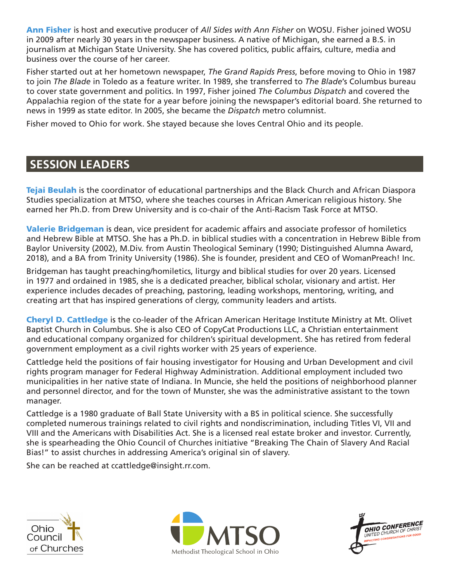Ann Fisher is host and executive producer of *All Sides with Ann Fisher* on WOSU. Fisher joined WOSU in 2009 after nearly 30 years in the newspaper business. A native of Michigan, she earned a B.S. in journalism at Michigan State University. She has covered politics, public affairs, culture, media and business over the course of her career.

Fisher started out at her hometown newspaper, *The Grand Rapids Press*, before moving to Ohio in 1987 to join *The Blade* in Toledo as a feature writer. In 1989, she transferred to *The Blade*'s Columbus bureau to cover state government and politics. In 1997, Fisher joined *The Columbus Dispatch* and covered the Appalachia region of the state for a year before joining the newspaper's editorial board. She returned to news in 1999 as state editor. In 2005, she became the *Dispatch* metro columnist.

Fisher moved to Ohio for work. She stayed because she loves Central Ohio and its people.

#### **SESSION LEADERS**

Tejai Beulah is the coordinator of educational partnerships and the Black Church and African Diaspora Studies specialization at MTSO, where she teaches courses in African American religious history. She earned her Ph.D. from Drew University and is co-chair of the Anti-Racism Task Force at MTSO.

**Valerie Bridgeman** is dean, vice president for academic affairs and associate professor of homiletics and Hebrew Bible at MTSO. She has a Ph.D. in biblical studies with a concentration in Hebrew Bible from Baylor University (2002), M.Div. from Austin Theological Seminary (1990; Distinguished Alumna Award, 2018), and a BA from Trinity University (1986). She is founder, president and CEO of WomanPreach! Inc.

Bridgeman has taught preaching/homiletics, liturgy and biblical studies for over 20 years. Licensed in 1977 and ordained in 1985, she is a dedicated preacher, biblical scholar, visionary and artist. Her experience includes decades of preaching, pastoring, leading workshops, mentoring, writing, and creating art that has inspired generations of clergy, community leaders and artists.

**Cheryl D. Cattledge** is the co-leader of the African American Heritage Institute Ministry at Mt. Olivet Baptist Church in Columbus. She is also CEO of CopyCat Productions LLC, a Christian entertainment and educational company organized for children's spiritual development. She has retired from federal government employment as a civil rights worker with 25 years of experience.

Cattledge held the positions of fair housing investigator for Housing and Urban Development and civil rights program manager for Federal Highway Administration. Additional employment included two municipalities in her native state of Indiana. In Muncie, she held the positions of neighborhood planner and personnel director, and for the town of Munster, she was the administrative assistant to the town manager.

Cattledge is a 1980 graduate of Ball State University with a BS in political science. She successfully completed numerous trainings related to civil rights and nondiscrimination, including Titles VI, VII and VIII and the Americans with Disabilities Act. She is a licensed real estate broker and investor. Currently, she is spearheading the Ohio Council of Churches initiative "Breaking The Chain of Slavery And Racial Bias!" to assist churches in addressing America's original sin of slavery.

She can be reached at ccattledge@insight.rr.com.





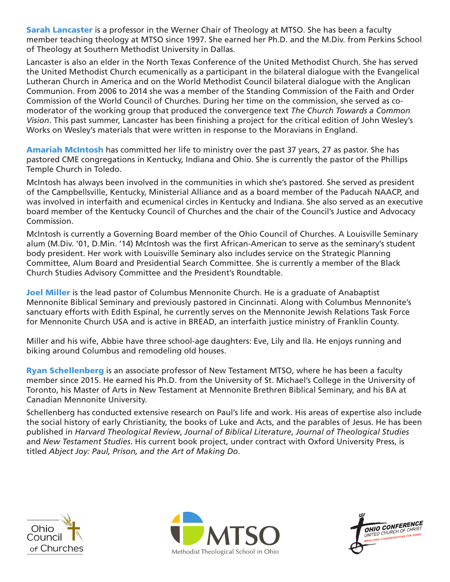**Sarah Lancaster** is a professor in the Werner Chair of Theology at MTSO. She has been a faculty member teaching theology at MTSO since 1997. She earned her Ph.D. and the M.Div. from Perkins School of Theology at Southern Methodist University in Dallas.

Lancaster is also an elder in the North Texas Conference of the United Methodist Church. She has served the United Methodist Church ecumenically as a participant in the bilateral dialogue with the Evangelical Lutheran Church in America and on the World Methodist Council bilateral dialogue with the Anglican Communion. From 2006 to 2014 she was a member of the Standing Commission of the Faith and Order Commission of the World Council of Churches. During her time on the commission, she served as comoderator of the working group that produced the convergence text *The Church Towards a Common Vision*. This past summer, Lancaster has been finishing a project for the critical edition of John Wesley's Works on Wesley's materials that were written in response to the Moravians in England.

Amariah McIntosh has committed her life to ministry over the past 37 years, 27 as pastor. She has pastored CME congregations in Kentucky, Indiana and Ohio. She is currently the pastor of the Phillips Temple Church in Toledo.

McIntosh has always been involved in the communities in which she's pastored. She served as president of the Campbellsville, Kentucky, Ministerial Alliance and as a board member of the Paducah NAACP, and was involved in interfaith and ecumenical circles in Kentucky and Indiana. She also served as an executive board member of the Kentucky Council of Churches and the chair of the Council's Justice and Advocacy Commission.

McIntosh is currently a Governing Board member of the Ohio Council of Churches. A Louisville Seminary alum (M.Div. '01, D.Min. '14) McIntosh was the first African-American to serve as the seminary's student body president. Her work with Louisville Seminary also includes service on the Strategic Planning Committee, Alum Board and Presidential Search Committee. She is currently a member of the Black Church Studies Advisory Committee and the President's Roundtable.

**Joel Miller** is the lead pastor of Columbus Mennonite Church. He is a graduate of Anabaptist Mennonite Biblical Seminary and previously pastored in Cincinnati. Along with Columbus Mennonite's sanctuary efforts with Edith Espinal, he currently serves on the Mennonite Jewish Relations Task Force for Mennonite Church USA and is active in BREAD, an interfaith justice ministry of Franklin County.

Miller and his wife, Abbie have three school-age daughters: Eve, Lily and Ila. He enjoys running and biking around Columbus and remodeling old houses.

**Ryan Schellenberg** is an associate professor of New Testament MTSO, where he has been a faculty member since 2015. He earned his Ph.D. from the University of St. Michael's College in the University of Toronto, his Master of Arts in New Testament at Mennonite Brethren Biblical Seminary, and his BA at Canadian Mennonite University.

Schellenberg has conducted extensive research on Paul's life and work. His areas of expertise also include the social history of early Christianity, the books of Luke and Acts, and the parables of Jesus. He has been published in *Harvard Theological Review*, *Journal of Biblical Literature*, *Journal of Theological Studies* and *New Testament Studies*. His current book project, under contract with Oxford University Press, is titled *Abject Joy: Paul, Prison, and the Art of Making Do*.





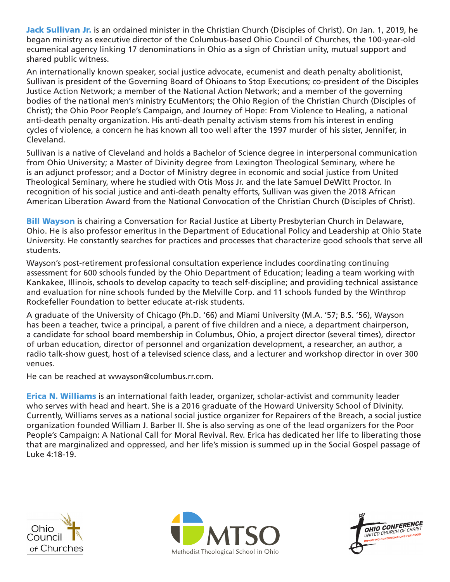Jack Sullivan Jr. is an ordained minister in the Christian Church (Disciples of Christ). On Jan. 1, 2019, he began ministry as executive director of the Columbus-based Ohio Council of Churches, the 100-year-old ecumenical agency linking 17 denominations in Ohio as a sign of Christian unity, mutual support and shared public witness.

An internationally known speaker, social justice advocate, ecumenist and death penalty abolitionist, Sullivan is president of the Governing Board of Ohioans to Stop Executions; co-president of the Disciples Justice Action Network; a member of the National Action Network; and a member of the governing bodies of the national men's ministry EcuMentors; the Ohio Region of the Christian Church (Disciples of Christ); the Ohio Poor People's Campaign, and Journey of Hope: From Violence to Healing, a national anti-death penalty organization. His anti-death penalty activism stems from his interest in ending cycles of violence, a concern he has known all too well after the 1997 murder of his sister, Jennifer, in Cleveland.

Sullivan is a native of Cleveland and holds a Bachelor of Science degree in interpersonal communication from Ohio University; a Master of Divinity degree from Lexington Theological Seminary, where he is an adjunct professor; and a Doctor of Ministry degree in economic and social justice from United Theological Seminary, where he studied with Otis Moss Jr. and the late Samuel DeWitt Proctor. In recognition of his social justice and anti-death penalty efforts, Sullivan was given the 2018 African American Liberation Award from the National Convocation of the Christian Church (Disciples of Christ).

**Bill Wayson** is chairing a Conversation for Racial Justice at Liberty Presbyterian Church in Delaware, Ohio. He is also professor emeritus in the Department of Educational Policy and Leadership at Ohio State University. He constantly searches for practices and processes that characterize good schools that serve all students.

Wayson's post-retirement professional consultation experience includes coordinating continuing assessment for 600 schools funded by the Ohio Department of Education; leading a team working with Kankakee, Illinois, schools to develop capacity to teach self-discipline; and providing technical assistance and evaluation for nine schools funded by the Melville Corp. and 11 schools funded by the Winthrop Rockefeller Foundation to better educate at-risk students.

A graduate of the University of Chicago (Ph.D. '66) and Miami University (M.A. '57; B.S. '56), Wayson has been a teacher, twice a principal, a parent of five children and a niece, a department chairperson, a candidate for school board membership in Columbus, Ohio, a project director (several times), director of urban education, director of personnel and organization development, a researcher, an author, a radio talk-show guest, host of a televised science class, and a lecturer and workshop director in over 300 venues.

He can be reached at wwayson@columbus.rr.com.

**Erica N. Williams** is an international faith leader, organizer, scholar-activist and community leader who serves with head and heart. She is a 2016 graduate of the Howard University School of Divinity. Currently, Williams serves as a national social justice organizer for Repairers of the Breach, a social justice organization founded William J. Barber II. She is also serving as one of the lead organizers for the Poor People's Campaign: A National Call for Moral Revival. Rev. Erica has dedicated her life to liberating those that are marginalized and oppressed, and her life's mission is summed up in the Social Gospel passage of Luke 4:18-19.





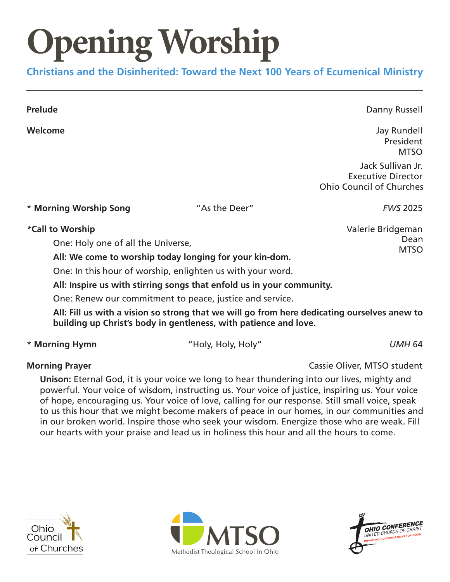# **pening Worship**

**Christians and the Disinherited: Toward the Next 100 Years of Ecumenical Ministry**

**Prelude Danny Russell** 

**Welcome** Jay Rundell en de la provincia de la provincia de la provincia de la provincia de la provincia de la provincia de la provi **MTSO** 

> Jack Sullivan Jr. Executive Director Ohio Council of Churches

\* **Morning Worship Song** "As the Deer" *FWS* 2025

*\****Call to Worship** Valerie Bridgeman

One: Holy one of all the Universe,

**All: We come to worship today longing for your kin-dom.**

One: In this hour of worship, enlighten us with your word.

**All: Inspire us with stirring songs that enfold us in your community.**

One: Renew our commitment to peace, justice and service.

**All: Fill us with a vision so strong that we will go from here dedicating ourselves anew to building up Christ's body in gentleness, with patience and love.**

\* **Morning Hymn** "Holy, Holy, Holy" *UMH* 64

**Morning Prayer** Cassie Oliver, MTSO student

**Unison:** Eternal God, it is your voice we long to hear thundering into our lives, mighty and powerful. Your voice of wisdom, instructing us. Your voice of justice, inspiring us. Your voice of hope, encouraging us. Your voice of love, calling for our response. Still small voice, speak to us this hour that we might become makers of peace in our homes, in our communities and in our broken world. Inspire those who seek your wisdom. Energize those who are weak. Fill our hearts with your praise and lead us in holiness this hour and all the hours to come.







Dean **MTSO**